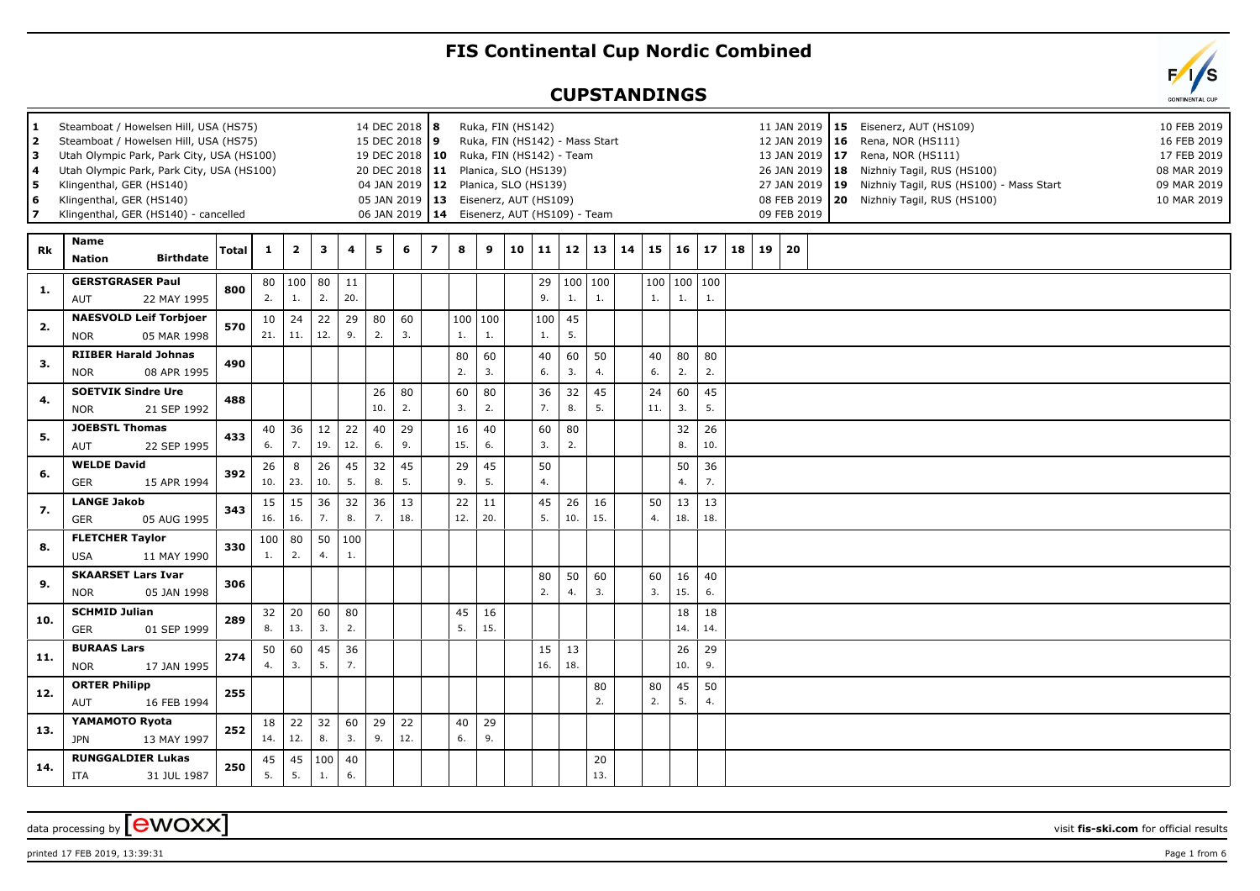## **FIS Continental Cup Nordic Combined**

## **CUPSTANDINGS**

| 1<br>2<br>з<br>4<br>5<br>6 | Steamboat / Howelsen Hill, USA (HS75)<br>Steamboat / Howelsen Hill, USA (HS75)<br>Utah Olympic Park, Park City, USA (HS100)<br>Utah Olympic Park, Park City, USA (HS100)<br>Klingenthal, GER (HS140)<br>Klingenthal, GER (HS140)<br>Klingenthal, GER (HS140) - cancelled |              |              |                         |           |           | 14 DEC 2018   8<br>15 DEC 2018<br>19 DEC 2018<br>20 DEC 2018<br>04 JAN 2019<br>06 JAN 2019 |           | <u> 9</u><br>$ 10\rangle$<br>$\begin{array}{c} \hline 111 \end{array}$<br>$\begin{array}{c} \n12\n\end{array}$<br>05 JAN 2019   13<br>$ 14\rangle$ |               |           | Ruka, FIN (HS142)<br>Ruka, FIN (HS142) - Mass Start<br>Ruka, FIN (HS142) - Team<br>Planica, SLO (HS139)<br>Planica, SLO (HS139)<br>Eisenerz, AUT (HS109)<br>Eisenerz, AUT (HS109) - Team |           |               |           |    |           |                       |           |    | 09 FEB 2019  | 12 JAN 2019   16<br>13 JAN 2019   17<br>27 JAN 2019   19 | 11 JAN 2019   15 Eisenerz, AUT (HS109)<br>Rena, NOR (HS111)<br>Rena, NOR (HS111)<br>26 JAN 2019   18 Nizhniy Tagil, RUS (HS100)<br>Nizhniy Tagil, RUS (HS100) - Mass Start<br>08 FEB 2019   20 Nizhniy Tagil, RUS (HS100) | 10 FEB 2019<br>16 FEB 2019<br>17 FEB 2019<br>08 MAR 2019<br>09 MAR 2019<br>10 MAR 2019 |
|----------------------------|--------------------------------------------------------------------------------------------------------------------------------------------------------------------------------------------------------------------------------------------------------------------------|--------------|--------------|-------------------------|-----------|-----------|--------------------------------------------------------------------------------------------|-----------|----------------------------------------------------------------------------------------------------------------------------------------------------|---------------|-----------|------------------------------------------------------------------------------------------------------------------------------------------------------------------------------------------|-----------|---------------|-----------|----|-----------|-----------------------|-----------|----|--------------|----------------------------------------------------------|---------------------------------------------------------------------------------------------------------------------------------------------------------------------------------------------------------------------------|----------------------------------------------------------------------------------------|
| Rk                         | <b>Name</b><br><b>Birthdate</b><br><b>Nation</b>                                                                                                                                                                                                                         | <b>Total</b> | $\mathbf{1}$ | $\overline{\mathbf{2}}$ | 3         | 4         | 5                                                                                          | 6         | $\overline{ }$                                                                                                                                     | 8             | 9         | 10                                                                                                                                                                                       | 11        | 12            | 13        | 14 | 15        | 16                    | 17        | 18 | $19 \mid 20$ |                                                          |                                                                                                                                                                                                                           |                                                                                        |
| 1.                         | <b>GERSTGRASER Paul</b><br><b>AUT</b><br>22 MAY 1995                                                                                                                                                                                                                     | 800          | 80<br>2.     | $ 100\rangle$<br>1.     | 80<br>2.  | 11<br>20. |                                                                                            |           |                                                                                                                                                    |               |           |                                                                                                                                                                                          | 29<br>9.  | 100 100<br>1. | 1.        |    | 1.        | 100   100   100<br>1. | 1.        |    |              |                                                          |                                                                                                                                                                                                                           |                                                                                        |
| 2.                         | <b>NAESVOLD Leif Torbjoer</b><br><b>NOR</b><br>05 MAR 1998                                                                                                                                                                                                               | 570          | 10<br>21.    | 24<br>11.               | 22<br>12. | 29<br>9.  | 80<br>2.                                                                                   | 60<br>3.  |                                                                                                                                                    | 100 100<br>1. | 1.        |                                                                                                                                                                                          | 100<br>1. | 45<br>5.      |           |    |           |                       |           |    |              |                                                          |                                                                                                                                                                                                                           |                                                                                        |
| 3.                         | <b>RIIBER Harald Johnas</b><br><b>NOR</b><br>08 APR 1995                                                                                                                                                                                                                 | 490          |              |                         |           |           |                                                                                            |           |                                                                                                                                                    | 80<br>2.      | 60<br>3.  |                                                                                                                                                                                          | 40<br>6.  | 60<br>3.      | 50<br>4.  |    | 40<br>6.  | 80<br>2.              | 80<br>2.  |    |              |                                                          |                                                                                                                                                                                                                           |                                                                                        |
| 4.                         | <b>SOETVIK Sindre Ure</b><br><b>NOR</b><br>21 SEP 1992                                                                                                                                                                                                                   | 488          |              |                         |           |           | 26<br>10.                                                                                  | 80<br>2.  |                                                                                                                                                    | 60<br>3.      | 80<br>2.  |                                                                                                                                                                                          | 36<br>7.  | 32<br>8.      | 45<br>5.  |    | 24<br>11. | 60<br>3.              | 45<br>5.  |    |              |                                                          |                                                                                                                                                                                                                           |                                                                                        |
| 5.                         | <b>JOEBSTL Thomas</b><br>AUT<br>22 SEP 1995                                                                                                                                                                                                                              | 433          | 40<br>6.     | 36<br>7.                | 12<br>19. | 22<br>12. | 40<br>6.                                                                                   | 29<br>9.  |                                                                                                                                                    | 16<br>15.     | 40<br>6.  |                                                                                                                                                                                          | 60<br>3.  | 80<br>2.      |           |    |           | 32<br>8.              | 26<br>10. |    |              |                                                          |                                                                                                                                                                                                                           |                                                                                        |
| 6.                         | <b>WELDE David</b><br>GER<br>15 APR 1994                                                                                                                                                                                                                                 | 392          | 26<br>10.    | 8<br>23.                | 26<br>10. | 45<br>5.  | 32<br>8.                                                                                   | 45<br>5.  |                                                                                                                                                    | 29<br>9.      | 45<br>5.  |                                                                                                                                                                                          | 50<br>4.  |               |           |    |           | 50<br>4.              | 36<br>7.  |    |              |                                                          |                                                                                                                                                                                                                           |                                                                                        |
| 7.                         | <b>LANGE Jakob</b><br>GER<br>05 AUG 1995                                                                                                                                                                                                                                 | 343          | 15<br>16.    | 15<br>16.               | 36<br>7.  | 32<br>8.  | 36<br>7.                                                                                   | 13<br>18. |                                                                                                                                                    | 22<br>12.     | 11<br>20. |                                                                                                                                                                                          | 45<br>5.  | 26<br>10.     | 16<br>15. |    | 50<br>4.  | 13<br>18.             | 13<br>18. |    |              |                                                          |                                                                                                                                                                                                                           |                                                                                        |
| 8.                         | <b>FLETCHER Taylor</b><br><b>USA</b><br>11 MAY 1990                                                                                                                                                                                                                      | 330          | 100<br>1.    | 80<br>2.                | 50<br>4.  | 100<br>1. |                                                                                            |           |                                                                                                                                                    |               |           |                                                                                                                                                                                          |           |               |           |    |           |                       |           |    |              |                                                          |                                                                                                                                                                                                                           |                                                                                        |
| 9.                         | <b>SKAARSET Lars Ivar</b><br><b>NOR</b><br>05 JAN 1998                                                                                                                                                                                                                   | 306          |              |                         |           |           |                                                                                            |           |                                                                                                                                                    |               |           |                                                                                                                                                                                          | 80<br>2.  | 50<br>4.      | 60<br>3.  |    | 60<br>3.  | 16<br>15.             | 40<br>6.  |    |              |                                                          |                                                                                                                                                                                                                           |                                                                                        |
| 10.                        | <b>SCHMID Julian</b><br>GER<br>01 SEP 1999                                                                                                                                                                                                                               | 289          | 32<br>8.     | 20<br>13.               | 60<br>3.  | 80<br>2.  |                                                                                            |           |                                                                                                                                                    | 45<br>5.      | 16<br>15. |                                                                                                                                                                                          |           |               |           |    |           | 18<br>14.             | 18<br>14. |    |              |                                                          |                                                                                                                                                                                                                           |                                                                                        |
| 11.                        | <b>BURAAS Lars</b><br><b>NOR</b><br>17 JAN 1995                                                                                                                                                                                                                          | 274          | 50<br>4.     | 60<br>3.                | 45<br>5.  | 36<br>7.  |                                                                                            |           |                                                                                                                                                    |               |           |                                                                                                                                                                                          | 15<br>16. | 13<br>18.     |           |    |           | 26<br>10.             | 29<br>9.  |    |              |                                                          |                                                                                                                                                                                                                           |                                                                                        |
| 12.                        | <b>ORTER Philipp</b><br>AUT<br>16 FEB 1994                                                                                                                                                                                                                               | 255          |              |                         |           |           |                                                                                            |           |                                                                                                                                                    |               |           |                                                                                                                                                                                          |           |               | 80<br>2.  |    | 80<br>2.  | 45<br>5.              | 50<br>4.  |    |              |                                                          |                                                                                                                                                                                                                           |                                                                                        |
| 13.                        | YAMAMOTO Ryota<br><b>JPN</b><br>13 MAY 1997                                                                                                                                                                                                                              | 252          | 18<br>14.    | 22<br>12.               | 32<br>8.  | 60<br>3.  | 29<br>9.                                                                                   | 22<br>12. |                                                                                                                                                    | 40<br>6.      | 29<br>9.  |                                                                                                                                                                                          |           |               |           |    |           |                       |           |    |              |                                                          |                                                                                                                                                                                                                           |                                                                                        |
| 14.                        | <b>RUNGGALDIER Lukas</b><br><b>ITA</b><br>31 JUL 1987                                                                                                                                                                                                                    | 250          | 45<br>5.     | 45<br>5.                | 100<br>1. | 40<br>6.  |                                                                                            |           |                                                                                                                                                    |               |           |                                                                                                                                                                                          |           |               | 20<br>13. |    |           |                       |           |    |              |                                                          |                                                                                                                                                                                                                           |                                                                                        |

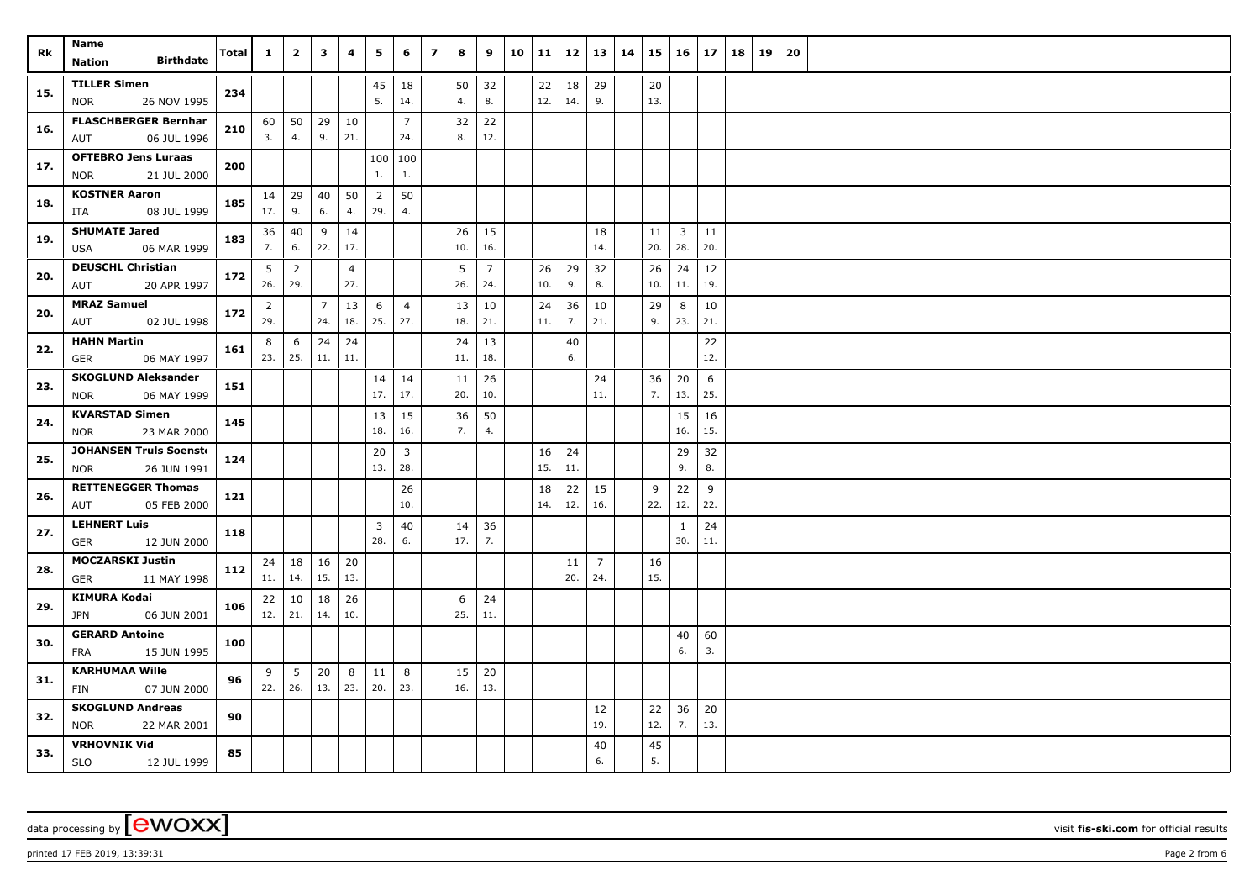|     | Name                                                 |              |                |                 |                | 4              |                |                | $\overline{ }$ |           |                |    |     |           |                       |    |           |                     | 17        | 18 |    |    |  |  |  |  |
|-----|------------------------------------------------------|--------------|----------------|-----------------|----------------|----------------|----------------|----------------|----------------|-----------|----------------|----|-----|-----------|-----------------------|----|-----------|---------------------|-----------|----|----|----|--|--|--|--|
| Rk  | <b>Birthdate</b><br>Nation                           | <b>Total</b> | $\mathbf{1}$   | $\overline{2}$  | 3              |                | 5              | 6              |                | 8         | 9              | 10 | 11  | 12        | 13                    | 14 | 15        | 16                  |           |    | 19 | 20 |  |  |  |  |
|     | <b>TILLER Simen</b>                                  |              |                |                 |                |                | 45             | 18             |                | 50        | 32             |    | 22  | 18        | 29                    |    | 20        |                     |           |    |    |    |  |  |  |  |
| 15. | <b>NOR</b><br>26 NOV 1995                            | 234          |                |                 |                |                | 5.             | 14.            |                | 4.        | 8.             |    | 12. | 14.       | 9.                    |    | 13.       |                     |           |    |    |    |  |  |  |  |
|     | <b>FLASCHBERGER Bernhar</b>                          | 210          | 60             | 50              | 29             | 10             |                | $\overline{7}$ |                | 32        | 22             |    |     |           |                       |    |           |                     |           |    |    |    |  |  |  |  |
| 16. | 06 JUL 1996<br>AUT                                   |              | 3.             | 4.              | 9.             | 21.            |                | 24.            |                | 8.        | 12.            |    |     |           |                       |    |           |                     |           |    |    |    |  |  |  |  |
| 17. | <b>OFTEBRO Jens Luraas</b>                           | 200          |                |                 |                |                |                | 100 100        |                |           |                |    |     |           |                       |    |           |                     |           |    |    |    |  |  |  |  |
|     | 21 JUL 2000<br><b>NOR</b>                            |              |                |                 |                |                | $1.$           | 1.             |                |           |                |    |     |           |                       |    |           |                     |           |    |    |    |  |  |  |  |
| 18. | <b>KOSTNER Aaron</b>                                 | 185          | 14             | 29              | 40             | 50             | $\overline{2}$ | 50             |                |           |                |    |     |           |                       |    |           |                     |           |    |    |    |  |  |  |  |
|     | 08 JUL 1999<br>ITA                                   |              | 17.            | 9.              | 6.             | 4.             | 29.            | 4.             |                |           |                |    |     |           |                       |    |           |                     |           |    |    |    |  |  |  |  |
| 19. | <b>SHUMATE Jared</b>                                 | 183          | 36             | 40              | 9              | 14             |                |                |                | 26        | 15             |    |     |           | 18                    |    | 11        | $\overline{3}$      | 11        |    |    |    |  |  |  |  |
|     | 06 MAR 1999<br>USA                                   |              | 7.             | 6.              | 22.            | 17.            |                |                |                | 10.       | 16.            |    |     |           | 14.                   |    | 20.       | 28.                 | 20.       |    |    |    |  |  |  |  |
| 20. | <b>DEUSCHL Christian</b>                             | 172          | 5              | $\overline{2}$  |                | $\overline{4}$ |                |                |                | 5         | $\overline{7}$ |    | 26  | 29        | 32                    |    | 26        | 24                  | 12        |    |    |    |  |  |  |  |
|     | 20 APR 1997<br>AUT                                   |              | 26.            | 29.             |                | 27.            |                |                |                | 26.       | 24.            |    | 10. | 9.        | 8.                    |    | 10.       | 11.                 | 19.       |    |    |    |  |  |  |  |
| 20. | <b>MRAZ Samuel</b>                                   | 172          | $\overline{2}$ |                 | $\overline{7}$ | 13             | 6              | $\overline{4}$ |                | 13        | 10             |    | 24  | 36        | 10                    |    | 29        | 8                   | 10        |    |    |    |  |  |  |  |
|     | 02 JUL 1998<br>AUT                                   |              | 29.            |                 | 24.            | 18.            | 25.            | 27.            |                | 18.       | 21.            |    | 11. | 7.        | 21.                   |    | 9.        | 23.                 | 21.       |    |    |    |  |  |  |  |
| 22. | <b>HAHN Martin</b>                                   | 161          | 8              | 6               | 24             | 24             |                |                |                | 24        | 13             |    |     | 40        |                       |    |           |                     | 22        |    |    |    |  |  |  |  |
|     | 06 MAY 1997<br>GER                                   |              | 23.            | 25.             | 11.            | 11.            |                |                |                | 11.       | 18.            |    |     | 6.        |                       |    |           |                     | 12.       |    |    |    |  |  |  |  |
| 23. | <b>SKOGLUND Aleksander</b>                           | 151          |                |                 |                |                | 14             | 14             |                | 11        | 26             |    |     |           | 24                    |    | 36        | 20                  | 6         |    |    |    |  |  |  |  |
|     | 06 MAY 1999<br><b>NOR</b>                            |              |                |                 |                |                | 17.            | 17.            |                | 20.       | 10.            |    |     |           | 11.                   |    | 7.        | 13.                 | 25.       |    |    |    |  |  |  |  |
| 24. | <b>KVARSTAD Simen</b>                                | 145          |                |                 |                |                | 13             | 15             |                | 36        | 50             |    |     |           |                       |    |           | 15                  | 16        |    |    |    |  |  |  |  |
|     | <b>NOR</b><br>23 MAR 2000                            |              |                |                 |                |                | 18.            | 16.            |                | 7.        | 4.             |    |     |           |                       |    |           | 16.                 | 15.       |    |    |    |  |  |  |  |
| 25. | <b>JOHANSEN Truls Soenste</b>                        | 124          |                |                 |                |                | 20             | $\overline{3}$ |                |           |                |    | 16  | 24        |                       |    |           | 29                  | 32        |    |    |    |  |  |  |  |
|     | 26 JUN 1991<br><b>NOR</b>                            |              |                |                 |                |                | 13.            | 28.            |                |           |                |    | 15. | 11.       |                       |    |           | 9.                  | 8.        |    |    |    |  |  |  |  |
| 26. | <b>RETTENEGGER Thomas</b>                            | 121          |                |                 |                |                |                | 26             |                |           |                |    | 18  | 22        | 15                    |    | 9         | 22                  | 9         |    |    |    |  |  |  |  |
|     | 05 FEB 2000<br>AUT                                   |              |                |                 |                |                |                | 10.            |                |           |                |    | 14. | 12.       | 16.                   |    | 22.       | 12.                 | 22.       |    |    |    |  |  |  |  |
| 27. | <b>LEHNERT Luis</b>                                  | 118          |                |                 |                |                | 3<br>28.       | 40<br>6.       |                | 14<br>17. | 36<br>7.       |    |     |           |                       |    |           | $\mathbf{1}$<br>30. | 24<br>11. |    |    |    |  |  |  |  |
|     | 12 JUN 2000<br><b>GER</b>                            |              |                |                 |                |                |                |                |                |           |                |    |     |           |                       |    |           |                     |           |    |    |    |  |  |  |  |
| 28. | <b>MOCZARSKI Justin</b><br><b>GER</b><br>11 MAY 1998 | 112          | 24             | 18<br>11.   14. | 16<br>15.      | 20<br>13.      |                |                |                |           |                |    |     | 11<br>20. | $\overline{7}$<br>24. |    | 16<br>15. |                     |           |    |    |    |  |  |  |  |
|     | <b>KIMURA Kodai</b>                                  |              |                |                 |                |                |                |                |                |           |                |    |     |           |                       |    |           |                     |           |    |    |    |  |  |  |  |
| 29. | <b>JPN</b><br>06 JUN 2001                            | 106          | 22             | 10<br>12.   21. | 18<br>14.      | 26<br>10.      |                |                |                | 6<br>25.  | 24<br>11.      |    |     |           |                       |    |           |                     |           |    |    |    |  |  |  |  |
|     | <b>GERARD Antoine</b>                                |              |                |                 |                |                |                |                |                |           |                |    |     |           |                       |    |           | 40                  | 60        |    |    |    |  |  |  |  |
| 30. | <b>FRA</b><br>15 JUN 1995                            | 100          |                |                 |                |                |                |                |                |           |                |    |     |           |                       |    |           | 6.                  | 3.        |    |    |    |  |  |  |  |
|     | <b>KARHUMAA Wille</b>                                |              | 9              | 5               | 20             | 8              | 11             | 8              |                | 15        | 20             |    |     |           |                       |    |           |                     |           |    |    |    |  |  |  |  |
| 31. | 07 JUN 2000<br>FIN                                   | 96           | 22.            | 26.             | 13.            | 23.            | 20.            | 23.            |                | 16.       | 13.            |    |     |           |                       |    |           |                     |           |    |    |    |  |  |  |  |
|     | <b>SKOGLUND Andreas</b>                              |              |                |                 |                |                |                |                |                |           |                |    |     |           | 12                    |    | 22        | 36                  | 20        |    |    |    |  |  |  |  |
| 32. | 22 MAR 2001<br><b>NOR</b>                            | 90           |                |                 |                |                |                |                |                |           |                |    |     |           | 19.                   |    | 12.       | 7.                  | 13.       |    |    |    |  |  |  |  |
|     | <b>VRHOVNIK Vid</b>                                  |              |                |                 |                |                |                |                |                |           |                |    |     |           | 40                    |    | 45        |                     |           |    |    |    |  |  |  |  |
| 33. | <b>SLO</b><br>12 JUL 1999                            | 85           |                |                 |                |                |                |                |                |           |                |    |     |           | 6.                    |    | 5.        |                     |           |    |    |    |  |  |  |  |

printed 17 FEB 2019, 13:39:31 Page 2 from 6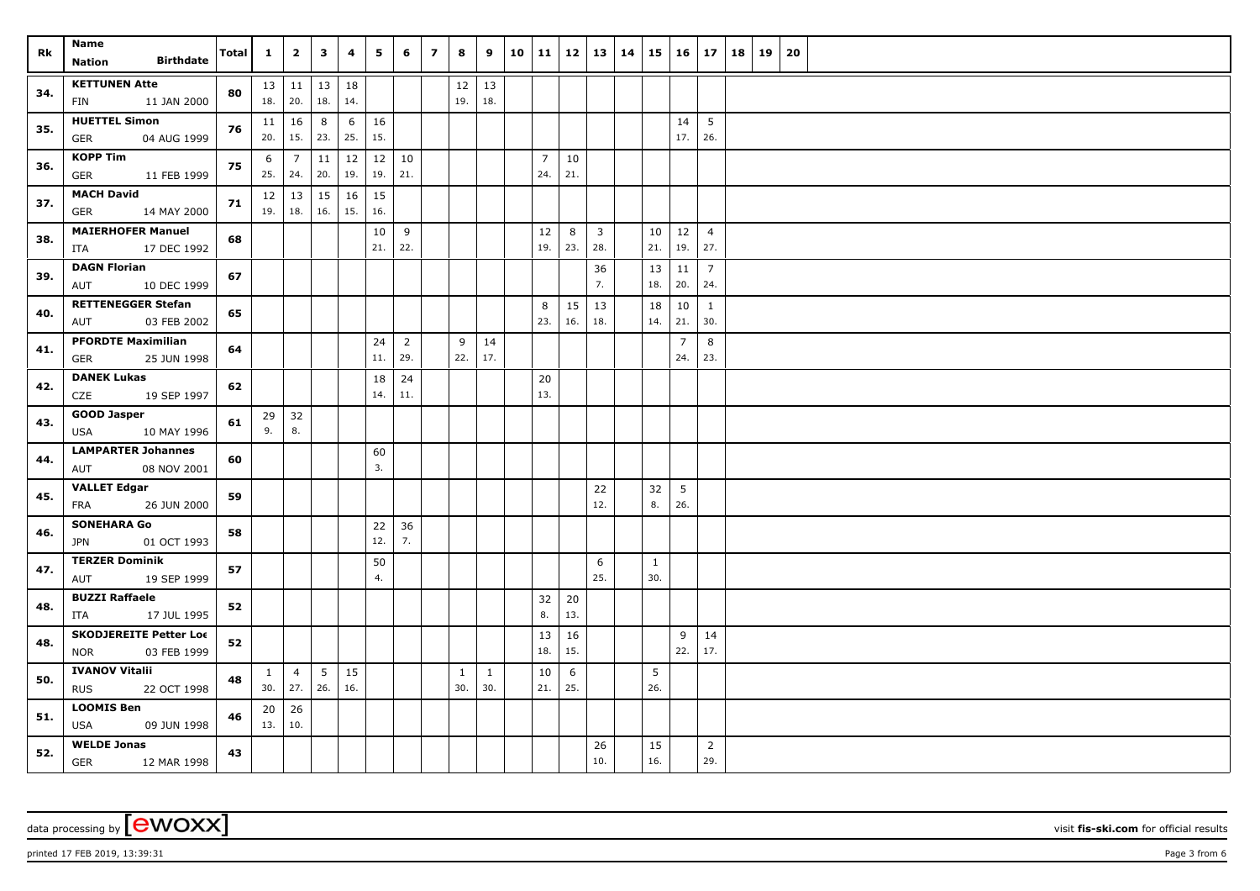| Rk  | Name<br><b>Birthdate</b><br>Nation          | <b>Total</b> | $\mathbf{1}$ | $\overline{2}$                   | $\mathbf{3}$ | 4         | 5         | 6              | $\overline{ }$ | 8            | 9                   | 10 11 |                |           |                | $12 \mid 13 \mid 14$ | 15                  | $16 \mid 17$    |                        | 18   19 | 20 |  |
|-----|---------------------------------------------|--------------|--------------|----------------------------------|--------------|-----------|-----------|----------------|----------------|--------------|---------------------|-------|----------------|-----------|----------------|----------------------|---------------------|-----------------|------------------------|---------|----|--|
|     |                                             |              |              |                                  |              |           |           |                |                |              |                     |       |                |           |                |                      |                     |                 |                        |         |    |  |
| 34. | <b>KETTUNEN Atte</b><br>11 JAN 2000<br>FIN  | 80           |              | $13$   11  <br>$18. \,   \, 20.$ | 13<br>18.    | 18<br>14. |           |                |                | 19.          | $12 \mid 13$<br>18. |       |                |           |                |                      |                     |                 |                        |         |    |  |
|     | <b>HUETTEL Simon</b>                        |              |              |                                  |              |           |           |                |                |              |                     |       |                |           |                |                      |                     |                 |                        |         |    |  |
| 35. | <b>GER</b><br>04 AUG 1999                   | 76           | 11<br>20.    | 16<br>15.                        | 8<br>23.     | 6<br>25.  | 16<br>15. |                |                |              |                     |       |                |           |                |                      |                     | 14<br>17.       | $5\overline{5}$<br>26. |         |    |  |
|     | <b>KOPP Tim</b>                             |              | 6            | $\overline{7}$                   | 11           | 12        |           | $12 \mid 10$   |                |              |                     |       | $\overline{7}$ | 10        |                |                      |                     |                 |                        |         |    |  |
| 36. | <b>GER</b><br>11 FEB 1999                   | 75           | 25.          | 24.                              | 20.          | 19.       | 19.       | 21.            |                |              |                     |       | 24.            | 21.       |                |                      |                     |                 |                        |         |    |  |
| 37. | <b>MACH David</b>                           | 71           | 12           | 13                               | 15           | 16        | 15        |                |                |              |                     |       |                |           |                |                      |                     |                 |                        |         |    |  |
|     | <b>GER</b><br>14 MAY 2000                   |              | 19.          | 18.                              | 16.          | 15.       | 16.       |                |                |              |                     |       |                |           |                |                      |                     |                 |                        |         |    |  |
| 38. | <b>MAIERHOFER Manuel</b>                    | 68           |              |                                  |              |           | 10        | 9              |                |              |                     |       | 12             | 8         | $\overline{3}$ |                      | 10                  | 12              | $\overline{4}$         |         |    |  |
|     | 17 DEC 1992<br>ITA                          |              |              |                                  |              |           | 21.       | 22.            |                |              |                     |       | 19.            | 23.       | 28.            |                      | 21.                 | 19.             | 27.                    |         |    |  |
| 39. | <b>DAGN Florian</b><br>10 DEC 1999<br>AUT   | 67           |              |                                  |              |           |           |                |                |              |                     |       |                |           | 36<br>7.       |                      | 13 <br>18.          | 11<br>20.       | $\overline{7}$<br>24.  |         |    |  |
|     | <b>RETTENEGGER Stefan</b>                   |              |              |                                  |              |           |           |                |                |              |                     |       | 8              | 15        | 13             |                      | 18                  | 10              | $\mathbf{1}$           |         |    |  |
| 40. | 03 FEB 2002<br>AUT                          | 65           |              |                                  |              |           |           |                |                |              |                     |       | 23.            | 16.       | 18.            |                      | 14.                 | 21.             | 30.                    |         |    |  |
|     | <b>PFORDTE Maximilian</b>                   |              |              |                                  |              |           | 24        | $\overline{2}$ |                | 9            | 14                  |       |                |           |                |                      |                     | $\overline{7}$  | 8                      |         |    |  |
| 41. | <b>GER</b><br>25 JUN 1998                   | 64           |              |                                  |              |           | 11.       | 29.            |                | 22.          | 17.                 |       |                |           |                |                      |                     | 24.             | 23.                    |         |    |  |
|     | <b>DANEK Lukas</b>                          |              |              |                                  |              |           | 18        | 24             |                |              |                     |       | 20             |           |                |                      |                     |                 |                        |         |    |  |
| 42. | CZE<br>19 SEP 1997                          | 62           |              |                                  |              |           | 14.       | 11.            |                |              |                     |       | 13.            |           |                |                      |                     |                 |                        |         |    |  |
| 43. | <b>GOOD Jasper</b>                          | 61           |              | $29 \mid 32$                     |              |           |           |                |                |              |                     |       |                |           |                |                      |                     |                 |                        |         |    |  |
|     | USA<br>10 MAY 1996                          |              | 9.           | 8.                               |              |           |           |                |                |              |                     |       |                |           |                |                      |                     |                 |                        |         |    |  |
| 44. | <b>LAMPARTER Johannes</b>                   | 60           |              |                                  |              |           | 60        |                |                |              |                     |       |                |           |                |                      |                     |                 |                        |         |    |  |
|     | 08 NOV 2001<br>AUT                          |              |              |                                  |              |           | 3.        |                |                |              |                     |       |                |           |                |                      |                     |                 |                        |         |    |  |
| 45. | <b>VALLET Edgar</b>                         | 59           |              |                                  |              |           |           |                |                |              |                     |       |                |           | 22             |                      | 32                  | $5\overline{)}$ |                        |         |    |  |
|     | 26 JUN 2000<br>FRA                          |              |              |                                  |              |           |           |                |                |              |                     |       |                |           | 12.            |                      | 8.                  | 26.             |                        |         |    |  |
| 46. | <b>SONEHARA Go</b>                          | 58           |              |                                  |              |           | 22        | 36             |                |              |                     |       |                |           |                |                      |                     |                 |                        |         |    |  |
|     | 01 OCT 1993<br>JPN                          |              |              |                                  |              |           | 12.       | 7.             |                |              |                     |       |                |           |                |                      |                     |                 |                        |         |    |  |
| 47. | <b>TERZER Dominik</b>                       | 57           |              |                                  |              |           | 50<br>4.  |                |                |              |                     |       |                |           | 6<br>25.       |                      | $\mathbf{1}$<br>30. |                 |                        |         |    |  |
|     | 19 SEP 1999<br>AUT<br><b>BUZZI Raffaele</b> |              |              |                                  |              |           |           |                |                |              |                     |       |                |           |                |                      |                     |                 |                        |         |    |  |
| 48. | ITA<br>17 JUL 1995                          | 52           |              |                                  |              |           |           |                |                |              |                     |       | 32<br>8.       | 20<br>13. |                |                      |                     |                 |                        |         |    |  |
| 48. | <b>SKODJEREITE Petter Loc</b>               |              |              |                                  |              |           |           |                |                |              |                     |       | 13             | 16        |                |                      |                     | 9               | 14                     |         |    |  |
|     | 03 FEB 1999<br><b>NOR</b>                   | 52           |              |                                  |              |           |           |                |                |              |                     |       | 18.            | 15.       |                |                      |                     | 22.             | 17.                    |         |    |  |
| 50. | <b>IVANOV Vitalii</b>                       | 48           | $\mathbf{1}$ | $\overline{4}$                   | 5            | 15        |           |                |                | $\mathbf{1}$ | $\mathbf{1}$        |       | 10             | 6         |                |                      | 5                   |                 |                        |         |    |  |
|     | <b>RUS</b><br>22 OCT 1998                   |              | 30.          | 27.                              | 26.          | 16.       |           |                |                | 30.          | 30.                 |       | 21.            | 25.       |                |                      | 26.                 |                 |                        |         |    |  |
| 51. | <b>LOOMIS Ben</b>                           | 46           | 20           | 26                               |              |           |           |                |                |              |                     |       |                |           |                |                      |                     |                 |                        |         |    |  |
|     | USA<br>09 JUN 1998                          |              | 13.          | 10.                              |              |           |           |                |                |              |                     |       |                |           |                |                      |                     |                 |                        |         |    |  |
| 52. | <b>WELDE Jonas</b>                          | 43           |              |                                  |              |           |           |                |                |              |                     |       |                |           | 26             |                      | 15                  |                 | $\overline{2}$         |         |    |  |
|     | <b>GER</b><br>12 MAR 1998                   |              |              |                                  |              |           |           |                |                |              |                     |       |                |           | 10.            |                      | 16.                 |                 | 29.                    |         |    |  |

printed 17 FEB 2019, 13:39:31 **Page 3** from 6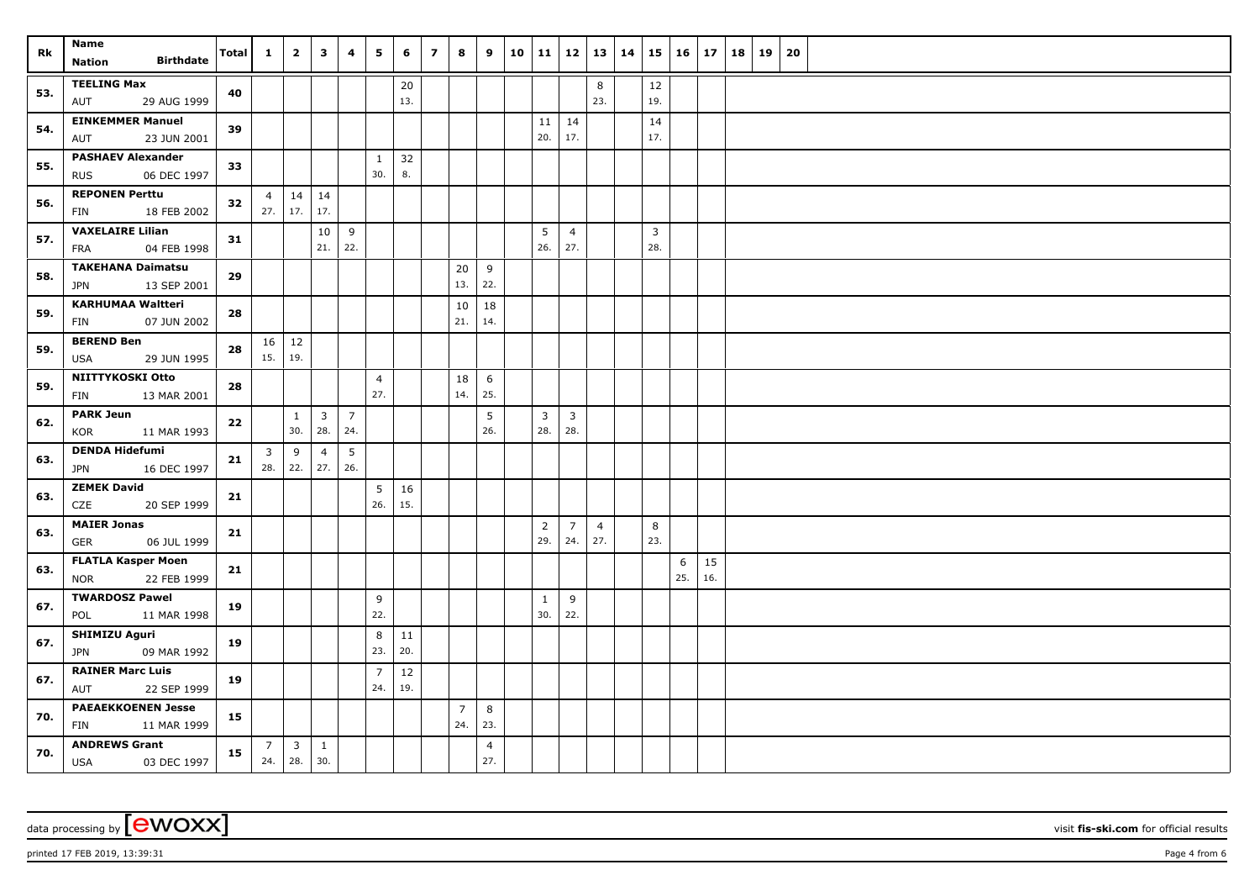| Rk  | Name<br><b>Birthdate</b><br>Nation                     | <b>Total</b> | $\mathbf{1}$   | $\overline{2}$          | $\mathbf{3}$            | 4              | 5              | 6         | $\overline{7}$ | 8              | 9                     | 10 11          |                         | $12 \mid 13$          | 14 | 15                      | $16 \mid 17$ |           | 18 | 19 | 20 |  |  |  |  |  |
|-----|--------------------------------------------------------|--------------|----------------|-------------------------|-------------------------|----------------|----------------|-----------|----------------|----------------|-----------------------|----------------|-------------------------|-----------------------|----|-------------------------|--------------|-----------|----|----|----|--|--|--|--|--|
|     | <b>TEELING Max</b>                                     |              |                |                         |                         |                |                |           |                |                |                       |                |                         |                       |    |                         |              |           |    |    |    |  |  |  |  |  |
| 53. | 29 AUG 1999<br>AUT                                     | 40           |                |                         |                         |                |                | 20<br>13. |                |                |                       |                |                         | 8<br>23.              |    | 12<br>19.               |              |           |    |    |    |  |  |  |  |  |
|     | <b>EINKEMMER Manuel</b>                                |              |                |                         |                         |                |                |           |                |                |                       | 11             | 14                      |                       |    | 14                      |              |           |    |    |    |  |  |  |  |  |
| 54. | AUT<br>23 JUN 2001                                     | 39           |                |                         |                         |                |                |           |                |                |                       | 20.            | 17.                     |                       |    | 17.                     |              |           |    |    |    |  |  |  |  |  |
| 55. | <b>PASHAEV Alexander</b>                               | 33           |                |                         |                         |                | $\mathbf{1}$   | 32        |                |                |                       |                |                         |                       |    |                         |              |           |    |    |    |  |  |  |  |  |
|     | 06 DEC 1997<br><b>RUS</b>                              |              |                |                         |                         |                | 30.            | 8.        |                |                |                       |                |                         |                       |    |                         |              |           |    |    |    |  |  |  |  |  |
| 56. | <b>REPONEN Perttu</b>                                  | 32           | $\overline{4}$ | 14                      | 14                      |                |                |           |                |                |                       |                |                         |                       |    |                         |              |           |    |    |    |  |  |  |  |  |
|     | FIN<br>18 FEB 2002                                     |              |                | $27.$ 17.               | 17.                     |                |                |           |                |                |                       |                |                         |                       |    |                         |              |           |    |    |    |  |  |  |  |  |
| 57. | <b>VAXELAIRE Lilian</b>                                | 31           |                |                         | 10                      | 9              |                |           |                |                |                       | 5              | $\overline{4}$          |                       |    | $\overline{\mathbf{3}}$ |              |           |    |    |    |  |  |  |  |  |
|     | 04 FEB 1998<br>FRA                                     |              |                |                         | 21.                     | 22.            |                |           |                |                |                       | 26.            | 27.                     |                       |    | 28.                     |              |           |    |    |    |  |  |  |  |  |
| 58. | <b>TAKEHANA Daimatsu</b><br>13 SEP 2001<br><b>JPN</b>  | 29           |                |                         |                         |                |                |           |                | 20<br>13.      | 9<br>22.              |                |                         |                       |    |                         |              |           |    |    |    |  |  |  |  |  |
|     | <b>KARHUMAA Waltteri</b>                               |              |                |                         |                         |                |                |           |                | 10             | 18                    |                |                         |                       |    |                         |              |           |    |    |    |  |  |  |  |  |
| 59. | 07 JUN 2002<br><b>FIN</b>                              | 28           |                |                         |                         |                |                |           |                | 21.            | 14.                   |                |                         |                       |    |                         |              |           |    |    |    |  |  |  |  |  |
|     | <b>BEREND Ben</b>                                      |              |                | $16 \mid 12$            |                         |                |                |           |                |                |                       |                |                         |                       |    |                         |              |           |    |    |    |  |  |  |  |  |
| 59. | <b>USA</b><br>29 JUN 1995                              | 28           | 15.            | 19.                     |                         |                |                |           |                |                |                       |                |                         |                       |    |                         |              |           |    |    |    |  |  |  |  |  |
|     | NIITTYKOSKI Otto                                       |              |                |                         |                         |                | $\overline{4}$ |           |                | 18             | 6                     |                |                         |                       |    |                         |              |           |    |    |    |  |  |  |  |  |
| 59. | 13 MAR 2001<br><b>FIN</b>                              | 28           |                |                         |                         |                | 27.            |           |                | 14.            | 25.                   |                |                         |                       |    |                         |              |           |    |    |    |  |  |  |  |  |
| 62. | <b>PARK Jeun</b>                                       | 22           |                | $\mathbf{1}$            | $\overline{\mathbf{3}}$ | $\overline{7}$ |                |           |                |                | 5                     | 3 <sup>7</sup> | $\overline{\mathbf{3}}$ |                       |    |                         |              |           |    |    |    |  |  |  |  |  |
|     | KOR<br>11 MAR 1993                                     |              |                | 30.                     | 28.                     | 24.            |                |           |                |                | 26.                   | 28.            | 28.                     |                       |    |                         |              |           |    |    |    |  |  |  |  |  |
| 63. | <b>DENDA Hidefumi</b>                                  | 21           | 3              | 9                       | $\overline{4}$          | 5 <sup>5</sup> |                |           |                |                |                       |                |                         |                       |    |                         |              |           |    |    |    |  |  |  |  |  |
|     | JPN<br>16 DEC 1997                                     |              |                | $28.$ 22.               | 27.                     | 26.            |                |           |                |                |                       |                |                         |                       |    |                         |              |           |    |    |    |  |  |  |  |  |
| 63. | <b>ZEMEK David</b>                                     | 21           |                |                         |                         |                | 5              | 16        |                |                |                       |                |                         |                       |    |                         |              |           |    |    |    |  |  |  |  |  |
|     | 20 SEP 1999<br>CZE                                     |              |                |                         |                         |                | 26.            | 15.       |                |                |                       |                |                         |                       |    |                         |              |           |    |    |    |  |  |  |  |  |
| 63. | <b>MAIER Jonas</b>                                     | 21           |                |                         |                         |                |                |           |                |                |                       | $\overline{2}$ | $\overline{7}$<br>24.   | $\overline{4}$<br>27. |    | 8<br>23.                |              |           |    |    |    |  |  |  |  |  |
|     | 06 JUL 1999<br><b>GER</b>                              |              |                |                         |                         |                |                |           |                |                |                       | 29.            |                         |                       |    |                         |              |           |    |    |    |  |  |  |  |  |
| 63. | <b>FLATLA Kasper Moen</b><br>22 FEB 1999<br><b>NOR</b> | 21           |                |                         |                         |                |                |           |                |                |                       |                |                         |                       |    |                         | 6<br>25.     | 15<br>16. |    |    |    |  |  |  |  |  |
|     | <b>TWARDOSZ Pawel</b>                                  |              |                |                         |                         |                | 9              |           |                |                |                       | 1              | 9                       |                       |    |                         |              |           |    |    |    |  |  |  |  |  |
| 67. | 11 MAR 1998<br>POL                                     | 19           |                |                         |                         |                | 22.            |           |                |                |                       | 30.            | 22.                     |                       |    |                         |              |           |    |    |    |  |  |  |  |  |
| 67. | <b>SHIMIZU Aguri</b>                                   | 19           |                |                         |                         |                | 8              | 11        |                |                |                       |                |                         |                       |    |                         |              |           |    |    |    |  |  |  |  |  |
|     | 09 MAR 1992<br><b>JPN</b>                              |              |                |                         |                         |                | 23.            | 20.       |                |                |                       |                |                         |                       |    |                         |              |           |    |    |    |  |  |  |  |  |
| 67. | <b>RAINER Marc Luis</b>                                | 19           |                |                         |                         |                | $\overline{7}$ | $12\,$    |                |                |                       |                |                         |                       |    |                         |              |           |    |    |    |  |  |  |  |  |
|     | 22 SEP 1999<br>AUT                                     |              |                |                         |                         |                | 24.            | 19.       |                |                |                       |                |                         |                       |    |                         |              |           |    |    |    |  |  |  |  |  |
| 70. | <b>PAEAEKKOENEN Jesse</b>                              | 15           |                |                         |                         |                |                |           |                | $\overline{7}$ | 8                     |                |                         |                       |    |                         |              |           |    |    |    |  |  |  |  |  |
|     | FIN<br>11 MAR 1999                                     |              |                |                         |                         |                |                |           |                | 24.            | 23.                   |                |                         |                       |    |                         |              |           |    |    |    |  |  |  |  |  |
| 70. | <b>ANDREWS Grant</b><br><b>USA</b><br>03 DEC 1997      | 15           |                | $7 \mid 3$<br>$24.$ 28. | $\mathbf{1}$<br>30.     |                |                |           |                |                | $\overline{4}$<br>27. |                |                         |                       |    |                         |              |           |    |    |    |  |  |  |  |  |

printed 17 FEB 2019, 13:39:31 Page 4 from 6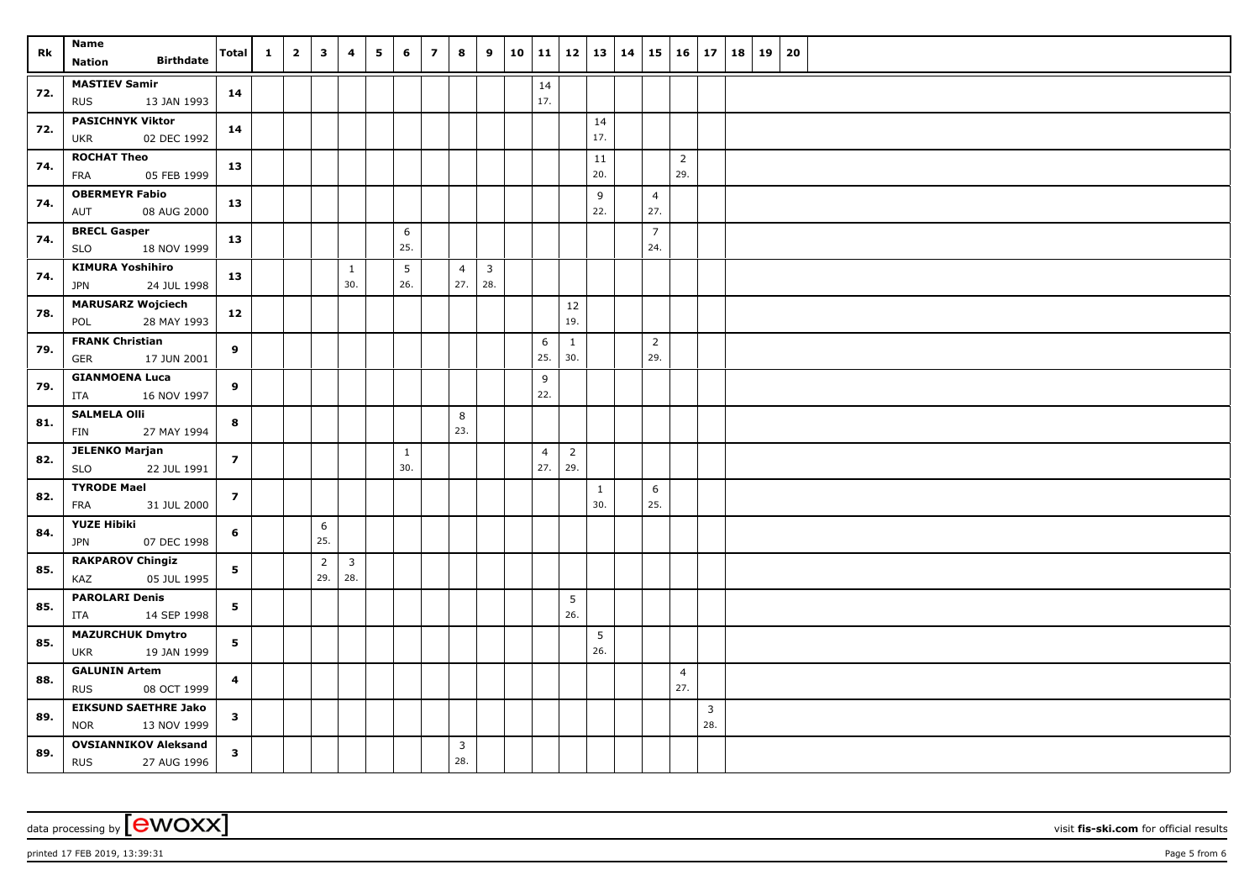| Rk  | Name                                                     | Total                   | $\mathbf{1}$ | $\overline{2}$ | $\mathbf{3}$          | 4                   | 5 | 6                   | $\overline{\mathbf{z}}$ | 8                              | 9                   | 10 |                       | 11   12   13   14     |           |                       | $15 \mid 16 \mid 17$  |                     | 18   19 | 20 |  |
|-----|----------------------------------------------------------|-------------------------|--------------|----------------|-----------------------|---------------------|---|---------------------|-------------------------|--------------------------------|---------------------|----|-----------------------|-----------------------|-----------|-----------------------|-----------------------|---------------------|---------|----|--|
|     | <b>Birthdate</b><br><b>Nation</b>                        |                         |              |                |                       |                     |   |                     |                         |                                |                     |    |                       |                       |           |                       |                       |                     |         |    |  |
| 72. | <b>MASTIEV Samir</b><br>13 JAN 1993<br><b>RUS</b>        | 14                      |              |                |                       |                     |   |                     |                         |                                |                     |    | 14<br>17.             |                       |           |                       |                       |                     |         |    |  |
| 72. | <b>PASICHNYK Viktor</b><br>02 DEC 1992<br><b>UKR</b>     | 14                      |              |                |                       |                     |   |                     |                         |                                |                     |    |                       |                       | 14<br>17. |                       |                       |                     |         |    |  |
| 74. | <b>ROCHAT Theo</b><br>05 FEB 1999<br>FRA                 | 13                      |              |                |                       |                     |   |                     |                         |                                |                     |    |                       |                       | 11<br>20. |                       | $\overline{2}$<br>29. |                     |         |    |  |
| 74. | <b>OBERMEYR Fabio</b><br>AUT<br>08 AUG 2000              | 13                      |              |                |                       |                     |   |                     |                         |                                |                     |    |                       |                       | 9<br>22.  | $\overline{4}$<br>27. |                       |                     |         |    |  |
| 74. | <b>BRECL Gasper</b><br>18 NOV 1999<br><b>SLO</b>         | 13                      |              |                |                       |                     |   | 6<br>25.            |                         |                                |                     |    |                       |                       |           | $\overline{7}$<br>24. |                       |                     |         |    |  |
| 74. | <b>KIMURA Yoshihiro</b><br>JPN<br>24 JUL 1998            | 13                      |              |                |                       | $\mathbf{1}$<br>30. |   | 5<br>26.            |                         | $\overline{4}$<br>27.          | $\mathbf{3}$<br>28. |    |                       |                       |           |                       |                       |                     |         |    |  |
| 78. | <b>MARUSARZ Wojciech</b><br>28 MAY 1993<br>POL           | 12                      |              |                |                       |                     |   |                     |                         |                                |                     |    |                       | 12<br>19.             |           |                       |                       |                     |         |    |  |
| 79. | <b>FRANK Christian</b><br>GER<br>17 JUN 2001             | 9                       |              |                |                       |                     |   |                     |                         |                                |                     |    | 6<br>25.              | $\mathbf{1}$<br>30.   |           | $\overline{2}$<br>29. |                       |                     |         |    |  |
| 79. | <b>GIANMOENA Luca</b><br>ITA<br>16 NOV 1997              | 9                       |              |                |                       |                     |   |                     |                         |                                |                     |    | 9<br>22.              |                       |           |                       |                       |                     |         |    |  |
| 81. | <b>SALMELA Olli</b><br><b>FIN</b><br>27 MAY 1994         | 8                       |              |                |                       |                     |   |                     |                         | 8<br>23.                       |                     |    |                       |                       |           |                       |                       |                     |         |    |  |
| 82. | <b>JELENKO Marjan</b><br><b>SLO</b><br>22 JUL 1991       | $\overline{7}$          |              |                |                       |                     |   | $\mathbf{1}$<br>30. |                         |                                |                     |    | $\overline{4}$<br>27. | $\overline{2}$<br>29. |           |                       |                       |                     |         |    |  |
| 82. | <b>TYRODE Mael</b><br><b>FRA</b><br>31 JUL 2000          | $\overline{\mathbf{z}}$ |              |                |                       |                     |   |                     |                         |                                |                     |    |                       |                       | 1<br>30.  | 6<br>25.              |                       |                     |         |    |  |
| 84. | <b>YUZE Hibiki</b><br><b>JPN</b><br>07 DEC 1998          | 6                       |              |                | 6<br>25.              |                     |   |                     |                         |                                |                     |    |                       |                       |           |                       |                       |                     |         |    |  |
| 85. | <b>RAKPAROV Chingiz</b><br>05 JUL 1995<br>KAZ            | 5                       |              |                | $\overline{2}$<br>29. | 3<br>28.            |   |                     |                         |                                |                     |    |                       |                       |           |                       |                       |                     |         |    |  |
| 85. | <b>PAROLARI Denis</b><br>ITA<br>14 SEP 1998              | 5 <sub>1</sub>          |              |                |                       |                     |   |                     |                         |                                |                     |    |                       | 5<br>26.              |           |                       |                       |                     |         |    |  |
| 85. | <b>MAZURCHUK Dmytro</b><br>19 JAN 1999<br><b>UKR</b>     | 5                       |              |                |                       |                     |   |                     |                         |                                |                     |    |                       |                       | 5<br>26.  |                       |                       |                     |         |    |  |
| 88. | <b>GALUNIN Artem</b><br><b>RUS</b><br>08 OCT 1999        | $\overline{\mathbf{4}}$ |              |                |                       |                     |   |                     |                         |                                |                     |    |                       |                       |           |                       | $\overline{4}$<br>27. |                     |         |    |  |
| 89. | <b>EIKSUND SAETHRE Jako</b><br><b>NOR</b><br>13 NOV 1999 | $\mathbf{3}$            |              |                |                       |                     |   |                     |                         |                                |                     |    |                       |                       |           |                       |                       | $\mathbf{3}$<br>28. |         |    |  |
| 89. | <b>OVSIANNIKOV Aleksand</b><br><b>RUS</b><br>27 AUG 1996 | $\mathbf{3}$            |              |                |                       |                     |   |                     |                         | $\overline{\mathbf{3}}$<br>28. |                     |    |                       |                       |           |                       |                       |                     |         |    |  |

printed 17 FEB 2019, 13:39:31 Page 5 from 6